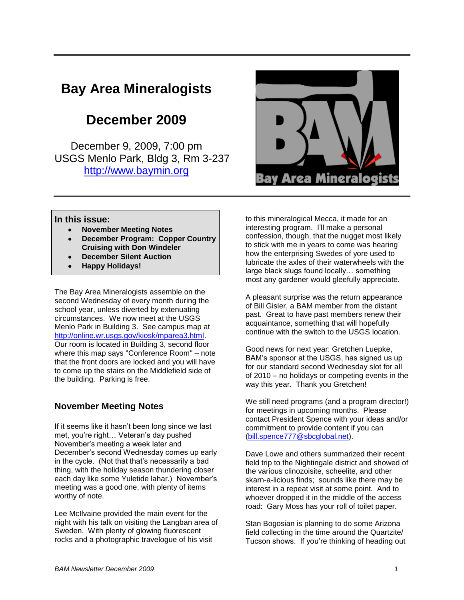# **Bay Area Mineralogists**

# **December 2009**

December 9, 2009, 7:00 pm USGS Menlo Park, Bldg 3, Rm 3-237 [http://www.baymin.org](http://www.baymin.org/)



#### **In this issue:**

- **November Meeting Notes**
- **December Program: Copper Country Cruising with Don Windeler**
- **December Silent Auction**
- **Happy Holidays!**

The Bay Area Mineralogists assemble on the second Wednesday of every month during the school year, unless diverted by extenuating circumstances. We now meet at the USGS Menlo Park in Building 3. See campus map at [http://online.wr.usgs.gov/kiosk/mparea3.html.](http://online.wr.usgs.gov/kiosk/mparea3.html) Our room is located in Building 3, second floor where this map says "Conference Room" – note that the front doors are locked and you will have to come up the stairs on the Middlefield side of the building. Parking is free.

#### **November Meeting Notes**

If it seems like it hasn't been long since we last met, you're right… Veteran's day pushed November's meeting a week later and December's second Wednesday comes up early in the cycle. (Not that that's necessarily a bad thing, with the holiday season thundering closer each day like some Yuletide lahar.) November's meeting was a good one, with plenty of items worthy of note.

Lee McIlvaine provided the main event for the night with his talk on visiting the Langban area of Sweden. With plenty of glowing fluorescent rocks and a photographic travelogue of his visit

to this mineralogical Mecca, it made for an interesting program. I'll make a personal confession, though, that the nugget most likely to stick with me in years to come was hearing how the enterprising Swedes of yore used to lubricate the axles of their waterwheels with the large black slugs found locally… something most any gardener would gleefully appreciate.

A pleasant surprise was the return appearance of Bill Gisler, a BAM member from the distant past. Great to have past members renew their acquaintance, something that will hopefully continue with the switch to the USGS location.

Good news for next year: Gretchen Luepke, BAM's sponsor at the USGS, has signed us up for our standard second Wednesday slot for all of 2010 – no holidays or competing events in the way this year. Thank you Gretchen!

We still need programs (and a program director!) for meetings in upcoming months. Please contact President Spence with your ideas and/or commitment to provide content if you can [\(bill.spence777@sbcglobal.net\)](mailto:bill.spence777@sbcglobal.net).

Dave Lowe and others summarized their recent field trip to the Nightingale district and showed of the various clinozoisite, scheelite, and other skarn-a-licious finds; sounds like there may be interest in a repeat visit at some point. And to whoever dropped it in the middle of the access road: Gary Moss has your roll of toilet paper.

Stan Bogosian is planning to do some Arizona field collecting in the time around the Quartzite/ Tucson shows. If you're thinking of heading out